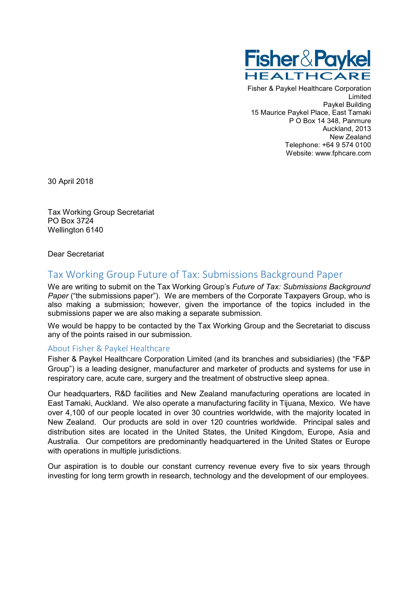

Fisher & Paykel Healthcare Corporation Limited Paykel Building 15 Maurice Paykel Place, East Tamaki P O Box 14 348, Panmure Auckland, 2013 New Zealand Telephone: +64 9 574 0100 Website: www.fphcare.com

30 April 2018

Tax Working Group Secretariat PO Box 3724 Wellington 6140

Dear Secretariat

# Tax Working Group Future of Tax: Submissions Background Paper

We are writing to submit on the Tax Working Group's *Future of Tax: Submissions Background Paper* ("the submissions paper"). We are members of the Corporate Taxpayers Group, who is also making a submission; however, given the importance of the topics included in the submissions paper we are also making a separate submission.

We would be happy to be contacted by the Tax Working Group and the Secretariat to discuss any of the points raised in our submission.

#### About Fisher & Paykel Healthcare

Fisher & Paykel Healthcare Corporation Limited (and its branches and subsidiaries) (the "F&P Group") is a leading designer, manufacturer and marketer of products and systems for use in respiratory care, acute care, surgery and the treatment of obstructive sleep apnea.

Our headquarters, R&D facilities and New Zealand manufacturing operations are located in East Tamaki, Auckland. We also operate a manufacturing facility in Tijuana, Mexico. We have over 4,100 of our people located in over 30 countries worldwide, with the majority located in New Zealand. Our products are sold in over 120 countries worldwide. Principal sales and distribution sites are located in the United States, the United Kingdom, Europe, Asia and Australia. Our competitors are predominantly headquartered in the United States or Europe with operations in multiple jurisdictions.

Our aspiration is to double our constant currency revenue every five to six years through investing for long term growth in research, technology and the development of our employees.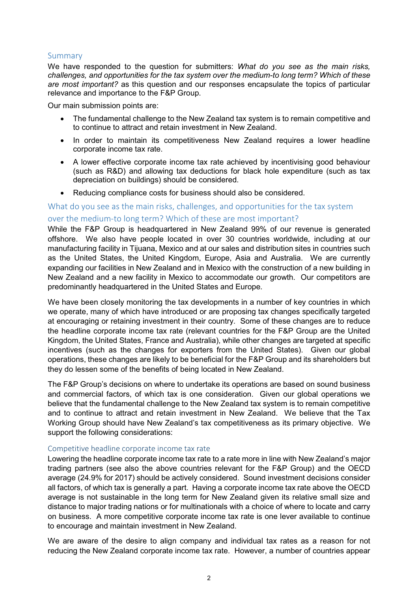## Summary

We have responded to the question for submitters: *What do you see as the main risks, challenges, and opportunities for the tax system over the medium-to long term? Which of these are most important?* as this question and our responses encapsulate the topics of particular relevance and importance to the F&P Group.

Our main submission points are:

- The fundamental challenge to the New Zealand tax system is to remain competitive and to continue to attract and retain investment in New Zealand.
- In order to maintain its competitiveness New Zealand requires a lower headline corporate income tax rate.
- A lower effective corporate income tax rate achieved by incentivising good behaviour (such as R&D) and allowing tax deductions for black hole expenditure (such as tax depreciation on buildings) should be considered.
- Reducing compliance costs for business should also be considered.

## What do you see as the main risks, challenges, and opportunities for the tax system over the medium-to long term? Which of these are most important?

While the F&P Group is headquartered in New Zealand 99% of our revenue is generated offshore. We also have people located in over 30 countries worldwide, including at our manufacturing facility in Tijuana, Mexico and at our sales and distribution sites in countries such as the United States, the United Kingdom, Europe, Asia and Australia. We are currently expanding our facilities in New Zealand and in Mexico with the construction of a new building in New Zealand and a new facility in Mexico to accommodate our growth. Our competitors are predominantly headquartered in the United States and Europe.

We have been closely monitoring the tax developments in a number of key countries in which we operate, many of which have introduced or are proposing tax changes specifically targeted at encouraging or retaining investment in their country. Some of these changes are to reduce the headline corporate income tax rate (relevant countries for the F&P Group are the United Kingdom, the United States, France and Australia), while other changes are targeted at specific incentives (such as the changes for exporters from the United States). Given our global operations, these changes are likely to be beneficial for the F&P Group and its shareholders but they do lessen some of the benefits of being located in New Zealand.

The F&P Group's decisions on where to undertake its operations are based on sound business and commercial factors, of which tax is one consideration. Given our global operations we believe that the fundamental challenge to the New Zealand tax system is to remain competitive and to continue to attract and retain investment in New Zealand. We believe that the Tax Working Group should have New Zealand's tax competitiveness as its primary objective. We support the following considerations:

## Competitive headline corporate income tax rate

Lowering the headline corporate income tax rate to a rate more in line with New Zealand's major trading partners (see also the above countries relevant for the F&P Group) and the OECD average (24.9% for 2017) should be actively considered. Sound investment decisions consider all factors, of which tax is generally a part. Having a corporate income tax rate above the OECD average is not sustainable in the long term for New Zealand given its relative small size and distance to major trading nations or for multinationals with a choice of where to locate and carry on business. A more competitive corporate income tax rate is one lever available to continue to encourage and maintain investment in New Zealand.

We are aware of the desire to align company and individual tax rates as a reason for not reducing the New Zealand corporate income tax rate. However, a number of countries appear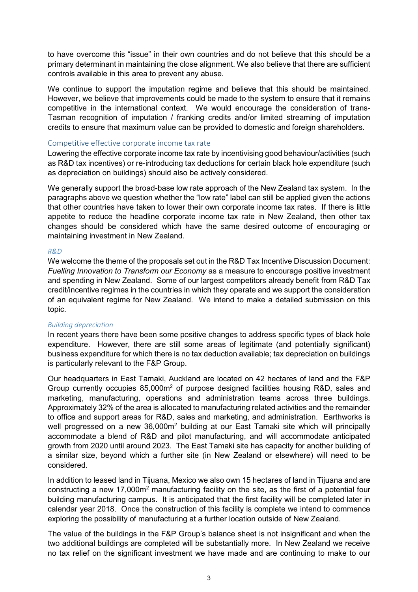to have overcome this "issue" in their own countries and do not believe that this should be a primary determinant in maintaining the close alignment. We also believe that there are sufficient controls available in this area to prevent any abuse.

We continue to support the imputation regime and believe that this should be maintained. However, we believe that improvements could be made to the system to ensure that it remains competitive in the international context. We would encourage the consideration of trans-Tasman recognition of imputation / franking credits and/or limited streaming of imputation credits to ensure that maximum value can be provided to domestic and foreign shareholders.

#### Competitive effective corporate income tax rate

Lowering the effective corporate income tax rate by incentivising good behaviour/activities (such as R&D tax incentives) or re-introducing tax deductions for certain black hole expenditure (such as depreciation on buildings) should also be actively considered.

We generally support the broad-base low rate approach of the New Zealand tax system. In the paragraphs above we question whether the "low rate" label can still be applied given the actions that other countries have taken to lower their own corporate income tax rates. If there is little appetite to reduce the headline corporate income tax rate in New Zealand, then other tax changes should be considered which have the same desired outcome of encouraging or maintaining investment in New Zealand.

#### *R&D*

We welcome the theme of the proposals set out in the R&D Tax Incentive Discussion Document: *Fuelling Innovation to Transform our Economy* as a measure to encourage positive investment and spending in New Zealand. Some of our largest competitors already benefit from R&D Tax credit/incentive regimes in the countries in which they operate and we support the consideration of an equivalent regime for New Zealand. We intend to make a detailed submission on this topic.

#### *Building depreciation*

In recent years there have been some positive changes to address specific types of black hole expenditure. However, there are still some areas of legitimate (and potentially significant) business expenditure for which there is no tax deduction available; tax depreciation on buildings is particularly relevant to the F&P Group.

Our headquarters in East Tamaki, Auckland are located on 42 hectares of land and the F&P Group currently occupies 85,000m2 of purpose designed facilities housing R&D, sales and marketing, manufacturing, operations and administration teams across three buildings. Approximately 32% of the area is allocated to manufacturing related activities and the remainder to office and support areas for R&D, sales and marketing, and administration. Earthworks is well progressed on a new 36,000m<sup>2</sup> building at our East Tamaki site which will principally accommodate a blend of R&D and pilot manufacturing, and will accommodate anticipated growth from 2020 until around 2023. The East Tamaki site has capacity for another building of a similar size, beyond which a further site (in New Zealand or elsewhere) will need to be considered.

In addition to leased land in Tijuana, Mexico we also own 15 hectares of land in Tijuana and are constructing a new 17,000m<sup>2</sup> manufacturing facility on the site, as the first of a potential four building manufacturing campus. It is anticipated that the first facility will be completed later in calendar year 2018. Once the construction of this facility is complete we intend to commence exploring the possibility of manufacturing at a further location outside of New Zealand.

The value of the buildings in the F&P Group's balance sheet is not insignificant and when the two additional buildings are completed will be substantially more. In New Zealand we receive no tax relief on the significant investment we have made and are continuing to make to our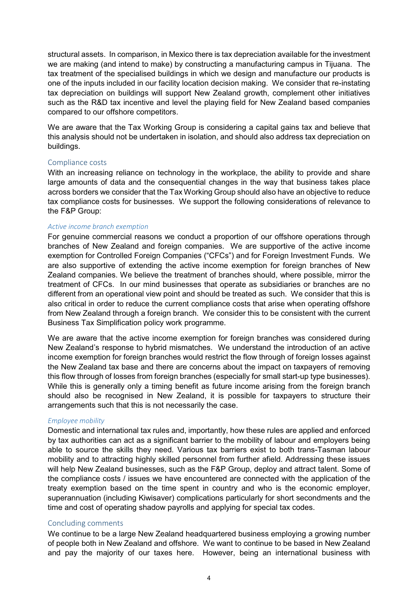structural assets. In comparison, in Mexico there is tax depreciation available for the investment we are making (and intend to make) by constructing a manufacturing campus in Tijuana. The tax treatment of the specialised buildings in which we design and manufacture our products is one of the inputs included in our facility location decision making. We consider that re-instating tax depreciation on buildings will support New Zealand growth, complement other initiatives such as the R&D tax incentive and level the playing field for New Zealand based companies compared to our offshore competitors.

We are aware that the Tax Working Group is considering a capital gains tax and believe that this analysis should not be undertaken in isolation, and should also address tax depreciation on buildings.

#### Compliance costs

With an increasing reliance on technology in the workplace, the ability to provide and share large amounts of data and the consequential changes in the way that business takes place across borders we consider that the Tax Working Group should also have an objective to reduce tax compliance costs for businesses. We support the following considerations of relevance to the F&P Group:

#### *Active income branch exemption*

For genuine commercial reasons we conduct a proportion of our offshore operations through branches of New Zealand and foreign companies. We are supportive of the active income exemption for Controlled Foreign Companies ("CFCs") and for Foreign Investment Funds. We are also supportive of extending the active income exemption for foreign branches of New Zealand companies. We believe the treatment of branches should, where possible, mirror the treatment of CFCs. In our mind businesses that operate as subsidiaries or branches are no different from an operational view point and should be treated as such. We consider that this is also critical in order to reduce the current compliance costs that arise when operating offshore from New Zealand through a foreign branch. We consider this to be consistent with the current Business Tax Simplification policy work programme.

We are aware that the active income exemption for foreign branches was considered during New Zealand's response to hybrid mismatches. We understand the introduction of an active income exemption for foreign branches would restrict the flow through of foreign losses against the New Zealand tax base and there are concerns about the impact on taxpayers of removing this flow through of losses from foreign branches (especially for small start-up type businesses). While this is generally only a timing benefit as future income arising from the foreign branch should also be recognised in New Zealand, it is possible for taxpayers to structure their arrangements such that this is not necessarily the case.

## *Employee mobility*

Domestic and international tax rules and, importantly, how these rules are applied and enforced by tax authorities can act as a significant barrier to the mobility of labour and employers being able to source the skills they need. Various tax barriers exist to both trans-Tasman labour mobility and to attracting highly skilled personnel from further afield. Addressing these issues will help New Zealand businesses, such as the F&P Group, deploy and attract talent. Some of the compliance costs / issues we have encountered are connected with the application of the treaty exemption based on the time spent in country and who is the economic employer, superannuation (including Kiwisaver) complications particularly for short secondments and the time and cost of operating shadow payrolls and applying for special tax codes.

## Concluding comments

We continue to be a large New Zealand headquartered business employing a growing number of people both in New Zealand and offshore. We want to continue to be based in New Zealand and pay the majority of our taxes here. However, being an international business with